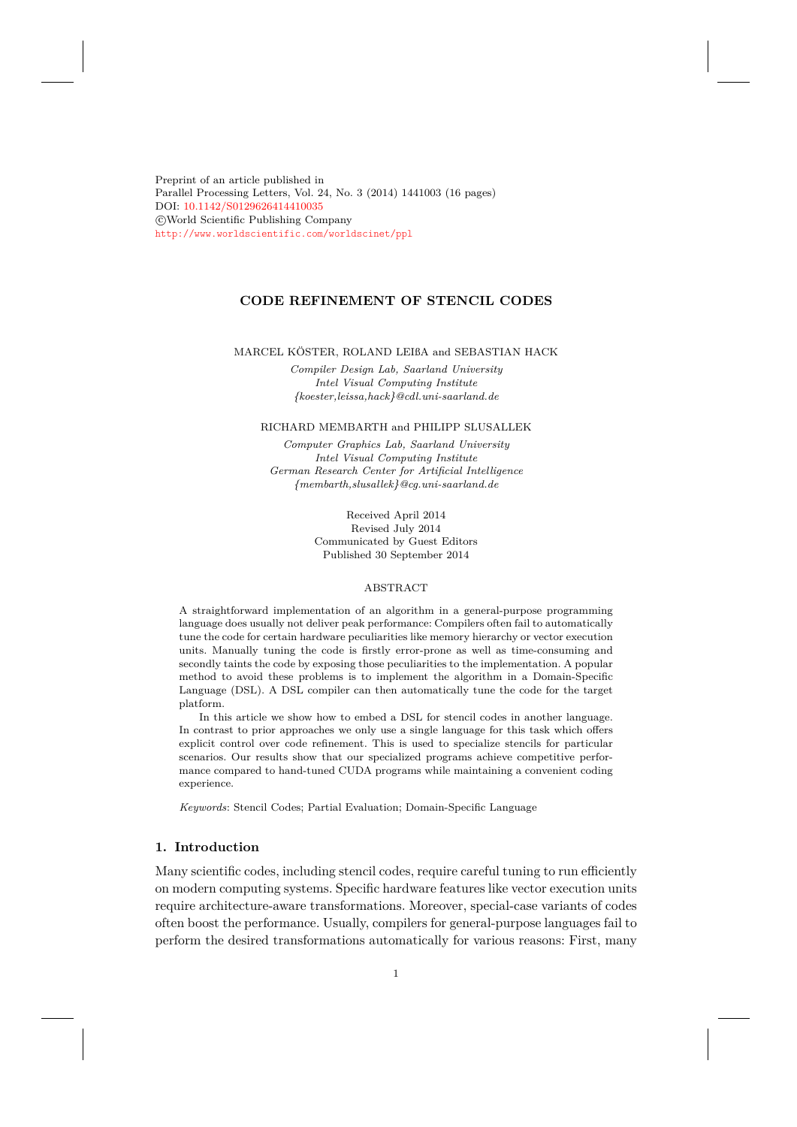Preprint of an article published in Parallel Processing Letters, Vol. 24, No. 3 (2014) 1441003 (16 pages) DOI: [10.1142/S0129626414410035](http://dx.doi.org/10.1142/S0129626414410035) c World Scientific Publishing Company <http://www.worldscientific.com/worldscinet/ppl>

# **CODE REFINEMENT OF STENCIL CODES**

MARCEL KÖSTER, ROLAND LEIßA and SEBASTIAN HACK

*Compiler Design Lab, Saarland University Intel Visual Computing Institute {koester,leissa,hack}@cdl.uni-saarland.de*

#### RICHARD MEMBARTH and PHILIPP SLUSALLEK

*Computer Graphics Lab, Saarland University Intel Visual Computing Institute German Research Center for Artificial Intelligence {membarth,slusallek}@cg.uni-saarland.de*

> Received April 2014 Revised July 2014 Communicated by Guest Editors Published 30 September 2014

#### ABSTRACT

A straightforward implementation of an algorithm in a general-purpose programming language does usually not deliver peak performance: Compilers often fail to automatically tune the code for certain hardware peculiarities like memory hierarchy or vector execution units. Manually tuning the code is firstly error-prone as well as time-consuming and secondly taints the code by exposing those peculiarities to the implementation. A popular method to avoid these problems is to implement the algorithm in a Domain-Specific Language (DSL). A DSL compiler can then automatically tune the code for the target platform.

In this article we show how to embed a DSL for stencil codes in another language. In contrast to prior approaches we only use a single language for this task which offers explicit control over code refinement. This is used to specialize stencils for particular scenarios. Our results show that our specialized programs achieve competitive performance compared to hand-tuned CUDA programs while maintaining a convenient coding experience.

*Keywords*: Stencil Codes; Partial Evaluation; Domain-Specific Language

# **1. Introduction**

Many scientific codes, including stencil codes, require careful tuning to run efficiently on modern computing systems. Specific hardware features like vector execution units require architecture-aware transformations. Moreover, special-case variants of codes often boost the performance. Usually, compilers for general-purpose languages fail to perform the desired transformations automatically for various reasons: First, many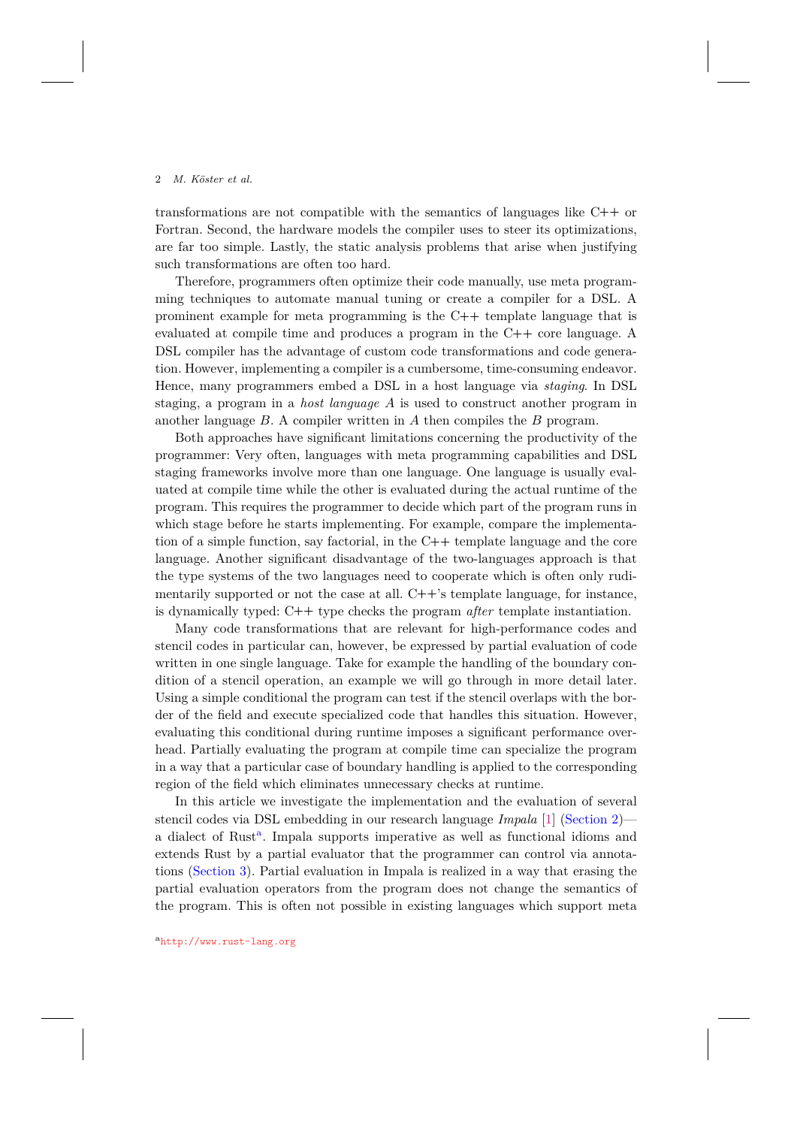transformations are not compatible with the semantics of languages like C**++** or Fortran. Second, the hardware models the compiler uses to steer its optimizations, are far too simple. Lastly, the static analysis problems that arise when justifying such transformations are often too hard.

Therefore, programmers often optimize their code manually, use meta programming techniques to automate manual tuning or create a compiler for a DSL. A prominent example for meta programming is the C**++** template language that is evaluated at compile time and produces a program in the C**++** core language. A DSL compiler has the advantage of custom code transformations and code generation. However, implementing a compiler is a cumbersome, time-consuming endeavor. Hence, many programmers embed a DSL in a host language via *staging*. In DSL staging, a program in a *host language A* is used to construct another program in another language *B*. A compiler written in *A* then compiles the *B* program.

Both approaches have significant limitations concerning the productivity of the programmer: Very often, languages with meta programming capabilities and DSL staging frameworks involve more than one language. One language is usually evaluated at compile time while the other is evaluated during the actual runtime of the program. This requires the programmer to decide which part of the program runs in which stage before he starts implementing. For example, compare the implementation of a simple function, say factorial, in the C**++** template language and the core language. Another significant disadvantage of the two-languages approach is that the type systems of the two languages need to cooperate which is often only rudimentarily supported or not the case at all. C**++**'s template language, for instance, is dynamically typed: C**++** type checks the program *after* template instantiation.

Many code transformations that are relevant for high-performance codes and stencil codes in particular can, however, be expressed by partial evaluation of code written in one single language. Take for example the handling of the boundary condition of a stencil operation, an example we will go through in more detail later. Using a simple conditional the program can test if the stencil overlaps with the border of the field and execute specialized code that handles this situation. However, evaluating this conditional during runtime imposes a significant performance overhead. Partially evaluating the program at compile time can specialize the program in a way that a particular case of boundary handling is applied to the corresponding region of the field which eliminates unnecessary checks at runtime.

<span id="page-1-0"></span>In this article we investigate the implementation and the evaluation of several stencil codes via DSL embedding in our research language *Impala* [\[1\]](#page-14-0) [\(Section 2\)](#page-2-0) [a](#page-1-0) dialect of Rust<sup>a</sup>. Impala supports imperative as well as functional idioms and extends Rust by a partial evaluator that the programmer can control via annotations [\(Section 3\)](#page-3-0). Partial evaluation in Impala is realized in a way that erasing the partial evaluation operators from the program does not change the semantics of the program. This is often not possible in existing languages which support meta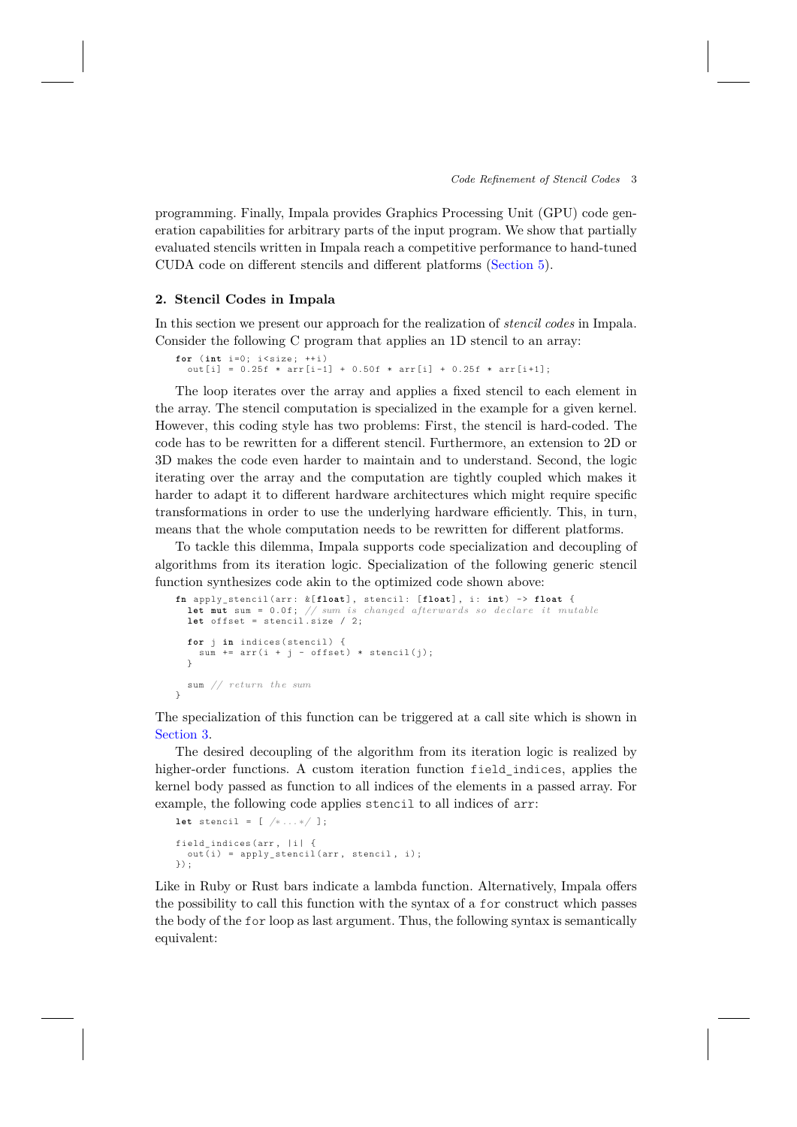programming. Finally, Impala provides Graphics Processing Unit (GPU) code generation capabilities for arbitrary parts of the input program. We show that partially evaluated stencils written in Impala reach a competitive performance to hand-tuned CUDA code on different stencils and different platforms [\(Section 5\)](#page-8-0).

### <span id="page-2-0"></span>**2. Stencil Codes in Impala**

In this section we present our approach for the realization of *stencil codes* in Impala. Consider the following C program that applies an 1D stencil to an array:

**for** ( $int$   $i=0$ ;  $i$  <  $size$ ;  $i+1$ ) out [i] =  $0.25f * arr[i-1] + 0.50f * arr[i] + 0.25f * arr[i+1]$ ;

The loop iterates over the array and applies a fixed stencil to each element in the array. The stencil computation is specialized in the example for a given kernel. However, this coding style has two problems: First, the stencil is hard-coded. The code has to be rewritten for a different stencil. Furthermore, an extension to 2D or 3D makes the code even harder to maintain and to understand. Second, the logic iterating over the array and the computation are tightly coupled which makes it harder to adapt it to different hardware architectures which might require specific transformations in order to use the underlying hardware efficiently. This, in turn, means that the whole computation needs to be rewritten for different platforms.

To tackle this dilemma, Impala supports code specialization and decoupling of algorithms from its iteration logic. Specialization of the following generic stencil function synthesizes code akin to the optimized code shown above:

```
fn apply_stencil ( arr : &[ float ] , stencil : [ float ] , i : int ) -> float {
  let mut sum = 0.0f; // sum is changed afterwards so declare it mutable<br>let offset = stencil.size / 2;
  for j in indices (stencil) {
    sum += arr(i + j - offset) * stencil(j);
  }
  sum // return the sum
}
```
The specialization of this function can be triggered at a call site which is shown in [Section 3.](#page-3-0)

The desired decoupling of the algorithm from its iteration logic is realized by higher-order functions. A custom iteration function field indices, applies the kernel body passed as function to all indices of the elements in a passed array. For example, the following code applies stencil to all indices of arr:

```
let stencil = [ /∗ . . . ∗/ ];
field_indices (arr, | i| {
out(i) = apply_stencil(arr, stencil, i);<br>});
```
Like in Ruby or Rust bars indicate a lambda function. Alternatively, Impala offers the possibility to call this function with the syntax of a for construct which passes the body of the for loop as last argument. Thus, the following syntax is semantically equivalent: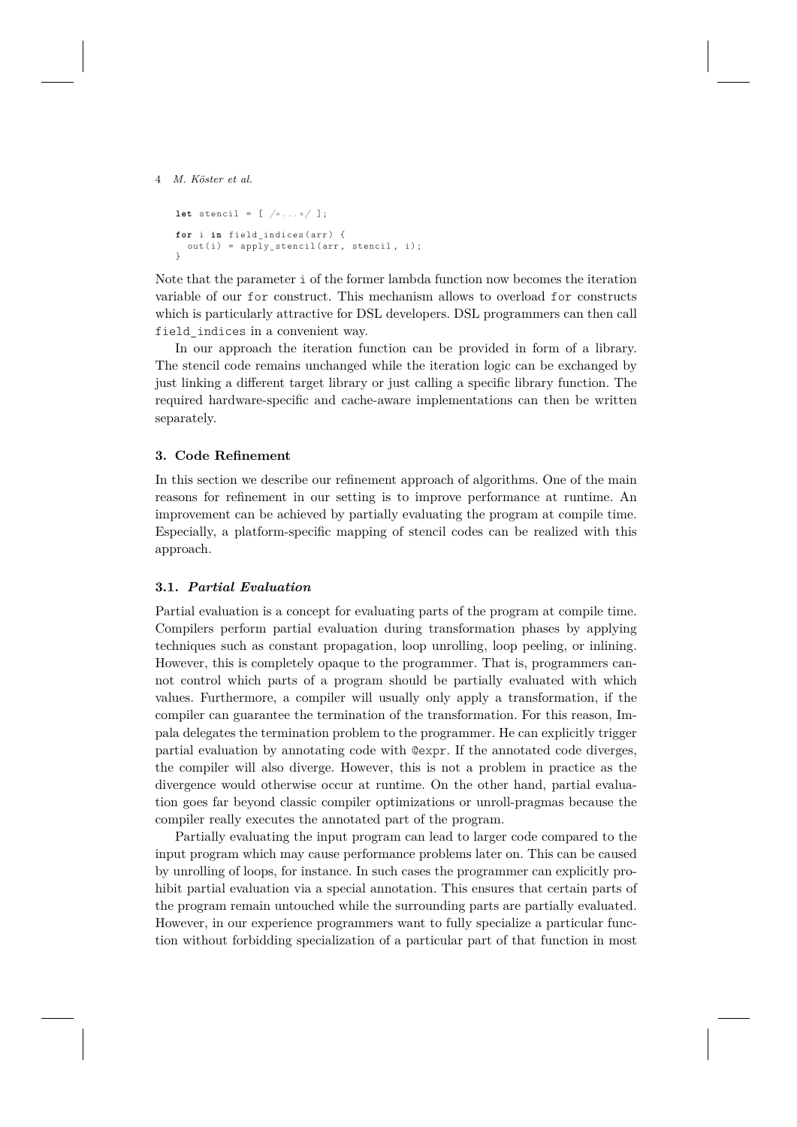```
4 M. Köster et al.
  let stencil = [ /∗ . . . ∗/ ];
  for i in field_indices ( arr ) {
    out(i) = apply\_stencil(arr, stencil, i);}
```
Note that the parameter i of the former lambda function now becomes the iteration variable of our for construct. This mechanism allows to overload for constructs which is particularly attractive for DSL developers. DSL programmers can then call field\_indices in a convenient way.

In our approach the iteration function can be provided in form of a library. The stencil code remains unchanged while the iteration logic can be exchanged by just linking a different target library or just calling a specific library function. The required hardware-specific and cache-aware implementations can then be written separately.

# <span id="page-3-0"></span>**3. Code Refinement**

In this section we describe our refinement approach of algorithms. One of the main reasons for refinement in our setting is to improve performance at runtime. An improvement can be achieved by partially evaluating the program at compile time. Especially, a platform-specific mapping of stencil codes can be realized with this approach.

## **3.1.** *Partial Evaluation*

Partial evaluation is a concept for evaluating parts of the program at compile time. Compilers perform partial evaluation during transformation phases by applying techniques such as constant propagation, loop unrolling, loop peeling, or inlining. However, this is completely opaque to the programmer. That is, programmers cannot control which parts of a program should be partially evaluated with which values. Furthermore, a compiler will usually only apply a transformation, if the compiler can guarantee the termination of the transformation. For this reason, Impala delegates the termination problem to the programmer. He can explicitly trigger partial evaluation by annotating code with @expr. If the annotated code diverges, the compiler will also diverge. However, this is not a problem in practice as the divergence would otherwise occur at runtime. On the other hand, partial evaluation goes far beyond classic compiler optimizations or unroll-pragmas because the compiler really executes the annotated part of the program.

Partially evaluating the input program can lead to larger code compared to the input program which may cause performance problems later on. This can be caused by unrolling of loops, for instance. In such cases the programmer can explicitly prohibit partial evaluation via a special annotation. This ensures that certain parts of the program remain untouched while the surrounding parts are partially evaluated. However, in our experience programmers want to fully specialize a particular function without forbidding specialization of a particular part of that function in most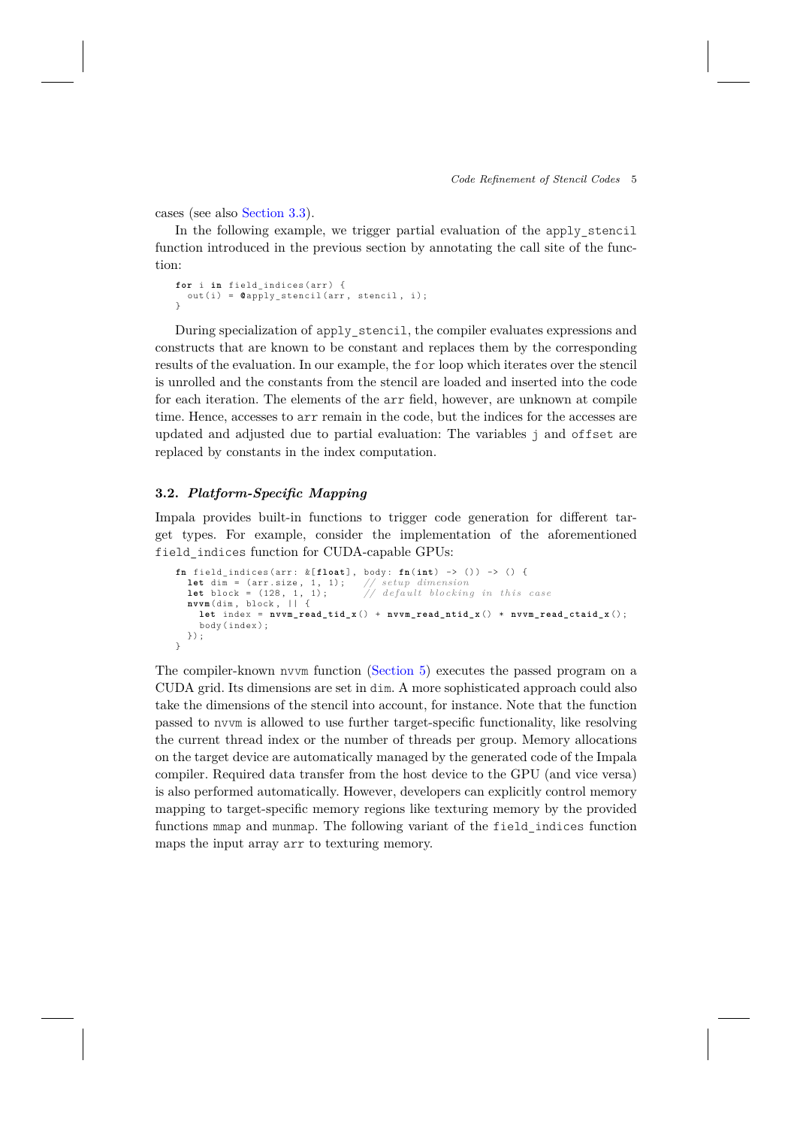cases (see also [Section 3.3\)](#page-5-0).

In the following example, we trigger partial evaluation of the apply\_stencil function introduced in the previous section by annotating the call site of the function:

```
for i in field_indices ( arr ) {
  out (i) = @apply\_stencil(arr, stencil, i);\overline{a}
```
During specialization of apply\_stencil, the compiler evaluates expressions and constructs that are known to be constant and replaces them by the corresponding results of the evaluation. In our example, the for loop which iterates over the stencil is unrolled and the constants from the stencil are loaded and inserted into the code for each iteration. The elements of the arr field, however, are unknown at compile time. Hence, accesses to arr remain in the code, but the indices for the accesses are updated and adjusted due to partial evaluation: The variables j and offset are replaced by constants in the index computation.

## <span id="page-4-0"></span>**3.2.** *Platform-Specific Mapping*

Impala provides built-in functions to trigger code generation for different target types. For example, consider the implementation of the aforementioned field\_indices function for CUDA-capable GPUs:

```
fn field_indices (arr: \& [float], body: fn(int) -> ()) -> () {
  let dim = (arr.size, 1, 1);<br>let block = (128, 1, 1);
                                          let block = (128 , 1 , 1) ; // d e fau l t b lock ing in t h i s case
  nvvm ( dim , block , || {
     let index = nvvm_read_tid_x () + nvvm_read_ntid_x () * nvvm_read_ctaid_x () ;
     body ( index ) ;
  }) ;
}
```
The compiler-known nvvm function [\(Section 5\)](#page-8-0) executes the passed program on a CUDA grid. Its dimensions are set in dim. A more sophisticated approach could also take the dimensions of the stencil into account, for instance. Note that the function passed to nvvm is allowed to use further target-specific functionality, like resolving the current thread index or the number of threads per group. Memory allocations on the target device are automatically managed by the generated code of the Impala compiler. Required data transfer from the host device to the GPU (and vice versa) is also performed automatically. However, developers can explicitly control memory mapping to target-specific memory regions like texturing memory by the provided functions mmap and munmap. The following variant of the field\_indices function maps the input array arr to texturing memory.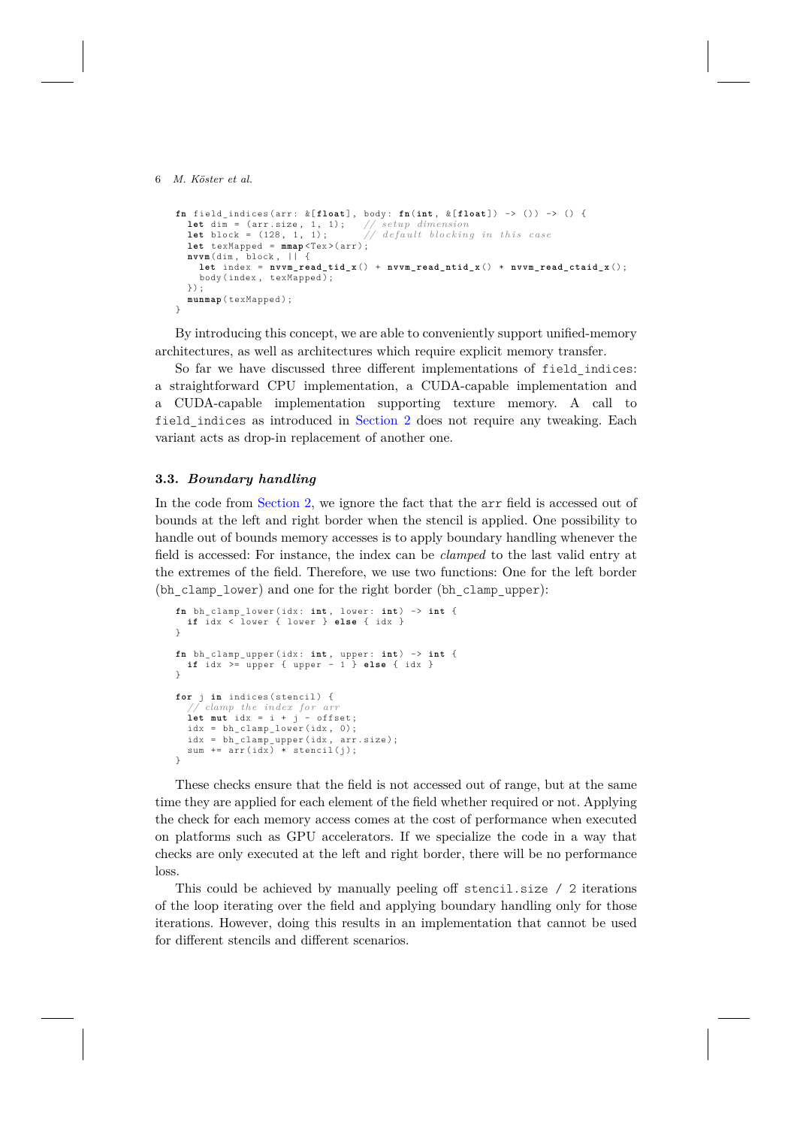```
6 M. Köster et al.
```

```
fn field_indices ( arr : &[ float ] , body : fn(int , &[ float ]) -> () ) -> () {
  let dim = ( arr . size , 1 , 1) ; // setup dimension
let block = (128 , 1 , 1) ; // d e fau l t b lock ing in t h i s case
  let texMapped = mmap < Tex >( arr ) ;
  nvvm (dim, block, || {
    let index = nvvm_read_tid_x () + nvvm_read_ntid_x () * nvvm_read_ctaid_x () ;
     body ( index , texMapped ) ;
  \lambda) :
  munmap ( texMapped ) ;
}
```
By introducing this concept, we are able to conveniently support unified-memory architectures, as well as architectures which require explicit memory transfer.

So far we have discussed three different implementations of field\_indices: a straightforward CPU implementation, a CUDA-capable implementation and a CUDA-capable implementation supporting texture memory. A call to field\_indices as introduced in [Section 2](#page-2-0) does not require any tweaking. Each variant acts as drop-in replacement of another one.

## <span id="page-5-0"></span>**3.3.** *Boundary handling*

In the code from [Section 2,](#page-2-0) we ignore the fact that the arr field is accessed out of bounds at the left and right border when the stencil is applied. One possibility to handle out of bounds memory accesses is to apply boundary handling whenever the field is accessed: For instance, the index can be *clamped* to the last valid entry at the extremes of the field. Therefore, we use two functions: One for the left border (bh\_clamp\_lower) and one for the right border (bh\_clamp\_upper):

```
fn bh_clamp_lower ( idx : int , lower : int ) -> int {
  if idx < lower { lower } else { idx }
}
fn bh_clamp_upper ( idx : int , upper : int ) -> int {
if idx >= upper { upper - 1 } else { idx }
}
for j in indices (stencil) {
   // clamp the index fo r arr
   let mut idx = i + j - offset ;
  idx = bh_clamp_lower(idx, 0);idx = bh_clamp_upper ( idx , arr . size ) ;
sum += arr ( idx ) * stencil ( j ) ;
}
```
These checks ensure that the field is not accessed out of range, but at the same time they are applied for each element of the field whether required or not. Applying the check for each memory access comes at the cost of performance when executed on platforms such as GPU accelerators. If we specialize the code in a way that checks are only executed at the left and right border, there will be no performance loss.

This could be achieved by manually peeling off stencil.size / 2 iterations of the loop iterating over the field and applying boundary handling only for those iterations. However, doing this results in an implementation that cannot be used for different stencils and different scenarios.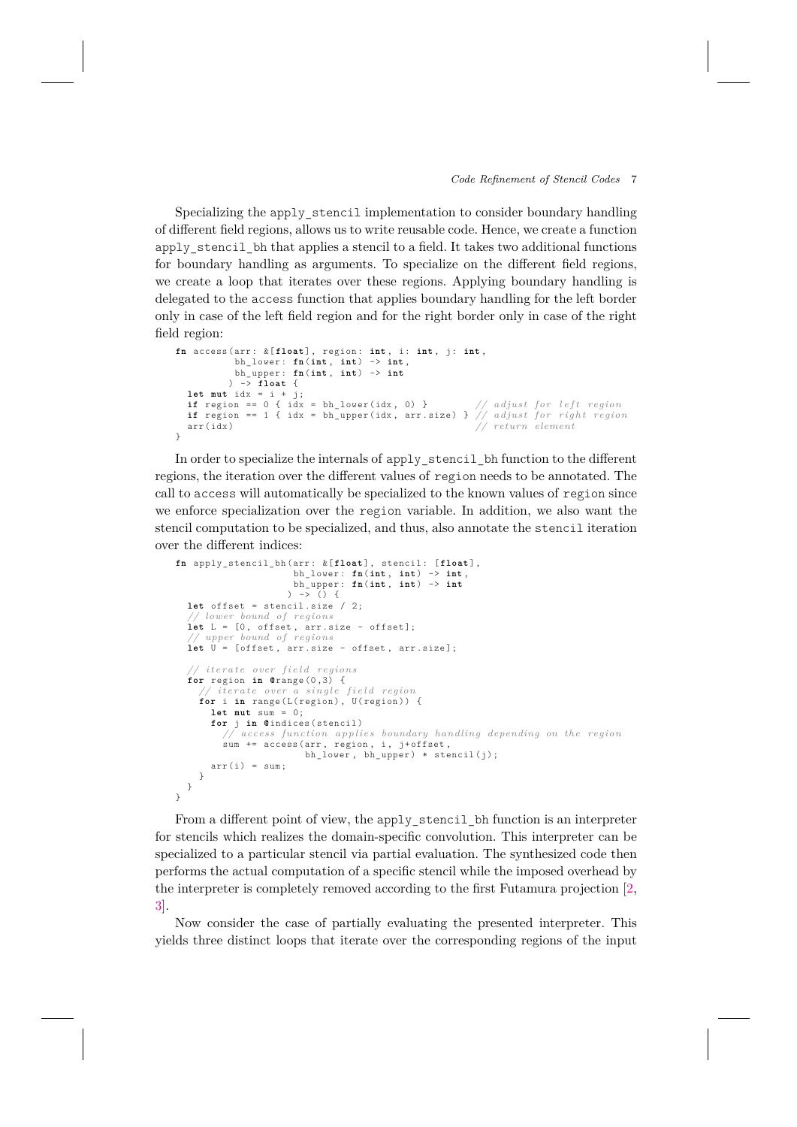Specializing the apply\_stencil implementation to consider boundary handling of different field regions, allows us to write reusable code. Hence, we create a function apply\_stencil\_bh that applies a stencil to a field. It takes two additional functions for boundary handling as arguments. To specialize on the different field regions, we create a loop that iterates over these regions. Applying boundary handling is delegated to the access function that applies boundary handling for the left border only in case of the left field region and for the right border only in case of the right field region:

```
fn access (arr: k[float], region: int, i: int, j: int,
                      bh_lower : fn(int , int ) -> int ,
bh_upper : fn(int , int ) -> int
    ) \overline{\phantom{0}} > float {<br>let mut idx = i + j
     let mut idx = i + j;<br>
if region == 0 { idx = bh_lower(idx, 0) } // adjust for left region<br>
if region == 1 { idx = bh_upper(idx, arr.size) } // adjust for right region<br>
arr(idx) // return element
}
```
In order to specialize the internals of apply\_stencil\_bh function to the different regions, the iteration over the different values of region needs to be annotated. The call to access will automatically be specialized to the known values of region since we enforce specialization over the region variable. In addition, we also want the stencil computation to be specialized, and thus, also annotate the stencil iteration over the different indices:

```
fn apply_stencil_bh ( arr : &[ float ] , stencil : [ float ] ,
                        bh_lower : fn(int , int) -> int ,
bh_upper : fn(int , int) -> int
                      ) \rightarrow () {
  let offset = stencil . size / 2;
     lower bound of regions
  let L = [0, offset, arr.size - offset];
     upper bound of regions
  let U = [ offset , arr . size - offset , arr . size ];
   // i t e r a t e over f i e l d regions
  for region in @range (0 ,3) {
       // i t e r a t e over a s in g l e f i e l d region
    for i in range (L(region), U(region)) {
       let mut sum = 0;
       for j in @indices ( stencil )
            \frac{1}{2} access function applies boundary handling depending on the region
         sum += access (arr, region, i, j+offset,
                          bh_lower, bh_luper) * stencil(j);
       arr(i) = sum;}
 }
}
```
From a different point of view, the apply\_stencil\_bh function is an interpreter for stencils which realizes the domain-specific convolution. This interpreter can be specialized to a particular stencil via partial evaluation. The synthesized code then performs the actual computation of a specific stencil while the imposed overhead by the interpreter is completely removed according to the first Futamura projection [\[2,](#page-14-1) [3\]](#page-14-2).

Now consider the case of partially evaluating the presented interpreter. This yields three distinct loops that iterate over the corresponding regions of the input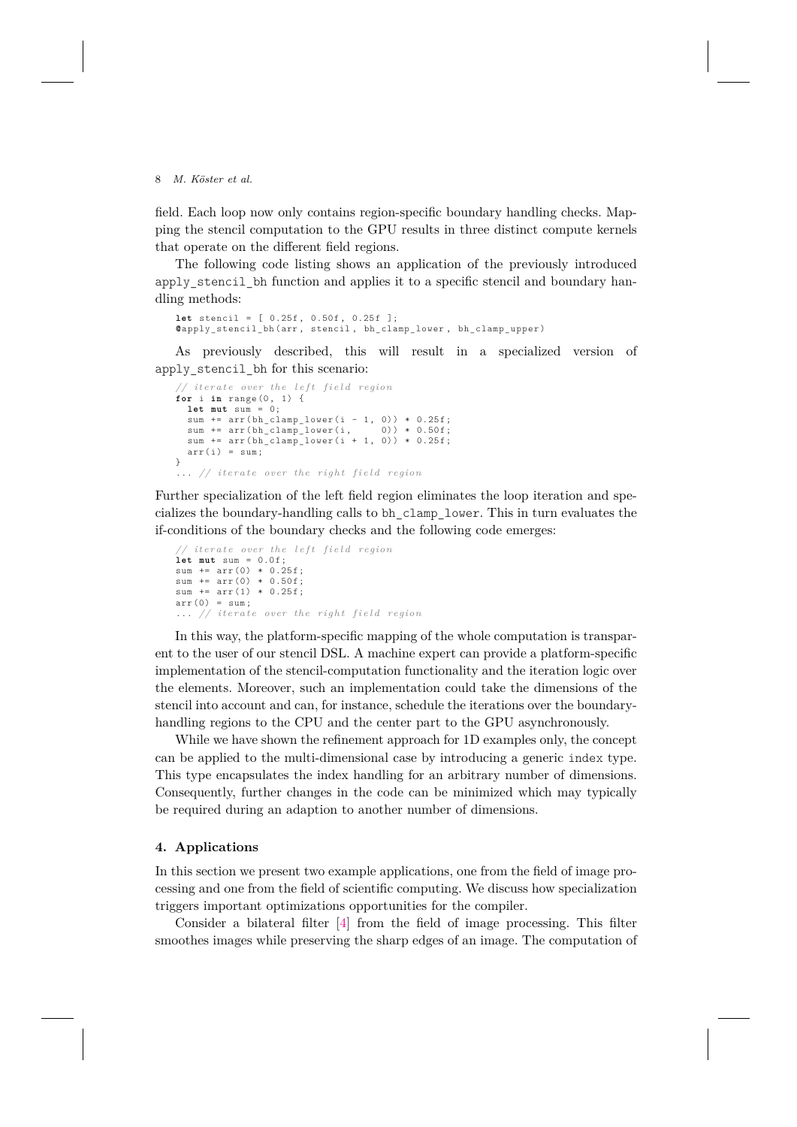field. Each loop now only contains region-specific boundary handling checks. Mapping the stencil computation to the GPU results in three distinct compute kernels that operate on the different field regions.

The following code listing shows an application of the previously introduced apply\_stencil\_bh function and applies it to a specific stencil and boundary handling methods:

```
let stencil = [ 0.25f, 0.50f, 0.25f ];
@ apply_stencil_bh ( arr , stencil , bh_clamp_lower , bh_clamp_upper )
```
As previously described, this will result in a specialized version of apply\_stencil\_bh for this scenario:

```
// i t e r a t e over the l e f t f i e l d region
for i in range (0 , 1) {
  let mut sum = 0;
  sum += arr(bh_clamp_lower(i - 1, 0)) * 0.25f;
   sum += arr(bh_clamp_lower(i, 0)) * 0.50f;<br>sum += arr(bh_clamp_lower(i + 1, 0)) * 0.25f;
  arr(i) = sum;}
... // iterate over the right field region
```
Further specialization of the left field region eliminates the loop iteration and specializes the boundary-handling calls to bh\_clamp\_lower. This in turn evaluates the if-conditions of the boundary checks and the following code emerges:

```
// i t e r a t e over the l e f t f i e l d region
let mut sum = 0.0f;
sum += arr(0) * 0.25f;
sum += arr(0) * 0.50f
sum += arr(1) * 0.25f;
arr(0) = sum;... // iterate over the right field region
```
In this way, the platform-specific mapping of the whole computation is transparent to the user of our stencil DSL. A machine expert can provide a platform-specific implementation of the stencil-computation functionality and the iteration logic over the elements. Moreover, such an implementation could take the dimensions of the stencil into account and can, for instance, schedule the iterations over the boundaryhandling regions to the CPU and the center part to the GPU asynchronously.

While we have shown the refinement approach for 1D examples only, the concept can be applied to the multi-dimensional case by introducing a generic index type. This type encapsulates the index handling for an arbitrary number of dimensions. Consequently, further changes in the code can be minimized which may typically be required during an adaption to another number of dimensions.

### **4. Applications**

In this section we present two example applications, one from the field of image processing and one from the field of scientific computing. We discuss how specialization triggers important optimizations opportunities for the compiler.

Consider a bilateral filter [\[4\]](#page-14-3) from the field of image processing. This filter smoothes images while preserving the sharp edges of an image. The computation of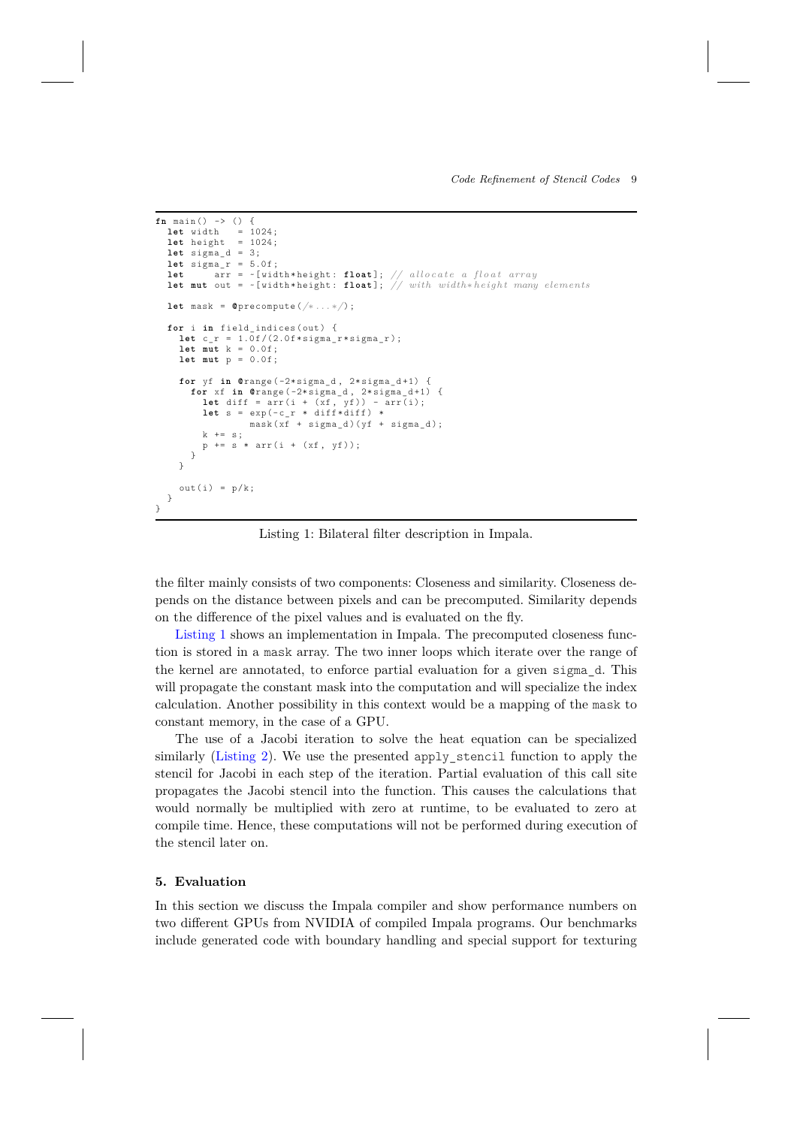```
fn main () \rightarrow () {<br>let width = 1024
   let width = 1024;<br>let height = 1024;
   let height
   let sigma_d = 3;
   let sigma<sub>r = 5.0f;</sub>
    let arr = ~[width*height: float]; // allocate a float array<br>let mut out = ~[width*height: float]; // with width*height many elements
   let mask = @precompute (/∗ . . . ∗/) ;
    for i in field_indices ( out ) {
       let c_r = 1.0 f/(2.0 f * sigma_r * sigma_r);
      let \text{mut } k = 0.0 \text{f};
      let mut p = 0.0 f;
       for yf in @range(-2*sigma_d, 2*sigma_d+1) {<br>
for xf in @range(-2*sigma_d, 2*sigma_d+1) {<br>
let diff = arr(i + (xf, yf)) - arr(i);
              let s = exp(-c_r * diff * diff) *<br>mask(xf + sigma_d)(yf + sigma_d);
             k += s;
             p \text{ += s * arr(i + (xf, yf));}\overline{ }}
       out(i) = p/k;}
}
```
Listing 1: Bilateral filter description in Impala.

the filter mainly consists of two components: Closeness and similarity. Closeness depends on the distance between pixels and can be precomputed. Similarity depends on the difference of the pixel values and is evaluated on the fly.

[Listing 1](#page-8-1) shows an implementation in Impala. The precomputed closeness function is stored in a mask array. The two inner loops which iterate over the range of the kernel are annotated, to enforce partial evaluation for a given sigma\_d. This will propagate the constant mask into the computation and will specialize the index calculation. Another possibility in this context would be a mapping of the mask to constant memory, in the case of a GPU.

The use of a Jacobi iteration to solve the heat equation can be specialized similarly [\(Listing 2\)](#page-9-0). We use the presented apply stencil function to apply the stencil for Jacobi in each step of the iteration. Partial evaluation of this call site propagates the Jacobi stencil into the function. This causes the calculations that would normally be multiplied with zero at runtime, to be evaluated to zero at compile time. Hence, these computations will not be performed during execution of the stencil later on.

### <span id="page-8-0"></span>**5. Evaluation**

In this section we discuss the Impala compiler and show performance numbers on two different GPUs from NVIDIA of compiled Impala programs. Our benchmarks include generated code with boundary handling and special support for texturing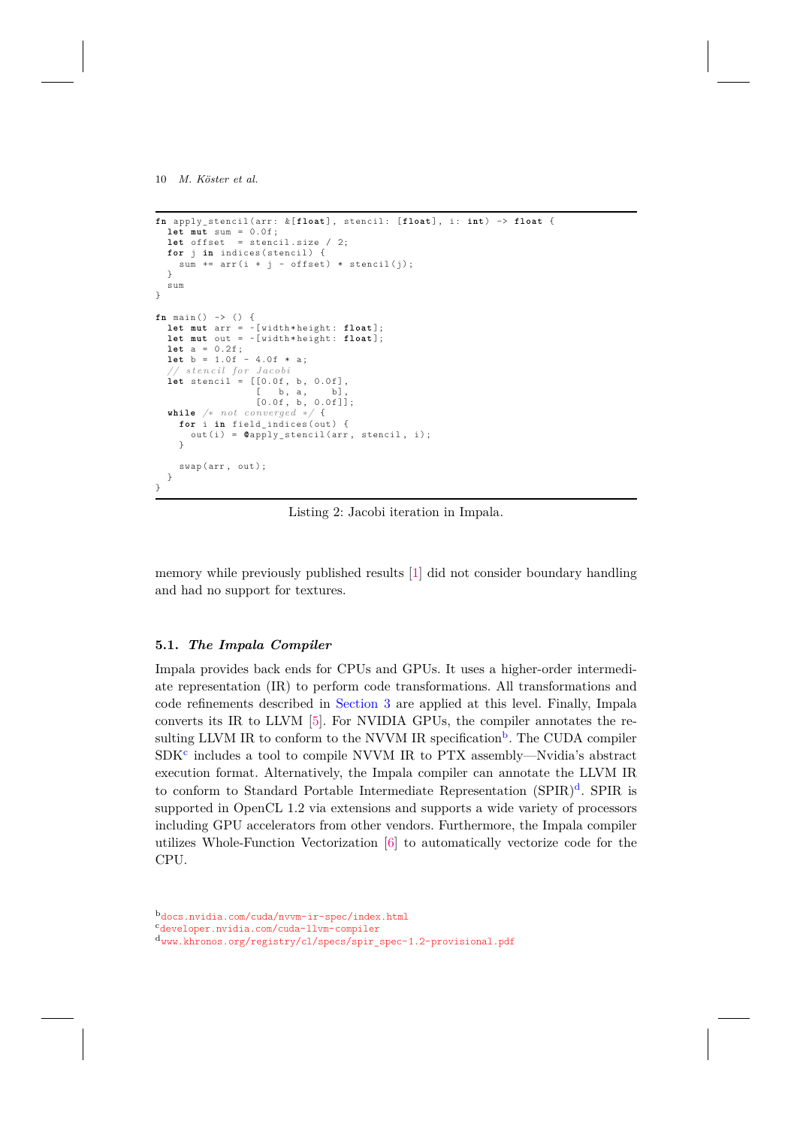```
fn apply_stencil ( arr : &[ float ] , stencil : [ float ] , i : int ) -> float {
   let mut sum = 0.0f;<br>let offset = stencil.size / 2;
  for i in indices (stencil) {
     sum += arr(i + j - offset) * stemcil(j);}
  sum
}
fn main () -> () {
   let mut arr = ~[ width * height : float ];
let mut out = ~[ width * height : float ];
  let a = 0.2f;
  let b = 1.0f - 4.0f * a;// s t e n c i l fo r Jacobi
  let stencil = [(0.0f, b, 0.0f],[0.0f, a, b],<br>[0.0f, b, 0.0f]],while /∗ not converged ∗/ {
     for i in field_indices ( out ) {
       out (i) = @apply_stencil (arr, stencil, i);
     }
     swap(arr, out);
  }
}
```
Listing 2: Jacobi iteration in Impala.

memory while previously published results [\[1\]](#page-14-0) did not consider boundary handling and had no support for textures.

### **5.1.** *The Impala Compiler*

Impala provides back ends for CPUs and GPUs. It uses a higher-order intermediate representation (IR) to perform code transformations. All transformations and code refinements described in [Section 3](#page-3-0) are applied at this level. Finally, Impala converts its IR to LLVM [\[5\]](#page-14-4). For NVIDIA GPUs, the compiler annotates the resulting LLVM IR to conform to the NVVM IR specification<sup>[b](#page-9-1)</sup>. The CUDA compiler SDK<sup>[c](#page-9-2)</sup> includes a tool to compile NVVM IR to PTX assembly—Nvidia's abstract execution format. Alternatively, the Impala compiler can annotate the LLVM IR to conform to Stan[d](#page-9-3)ard Portable Intermediate Representation (SPIR)<sup>d</sup>. SPIR is supported in OpenCL 1.2 via extensions and supports a wide variety of processors including GPU accelerators from other vendors. Furthermore, the Impala compiler utilizes Whole-Function Vectorization [\[6\]](#page-14-5) to automatically vectorize code for the CPU.

<span id="page-9-1"></span><sup>b</sup><docs.nvidia.com/cuda/nvvm-ir-spec/index.html>

<span id="page-9-2"></span><sup>c</sup><developer.nvidia.com/cuda-llvm-compiler>

<span id="page-9-3"></span><sup>d</sup>[www.khronos.org/registry/cl/specs/spir\\_spec-1.2-provisional.pdf](www.khronos.org/registry/cl/specs/spir_spec-1.2-provisional.pdf)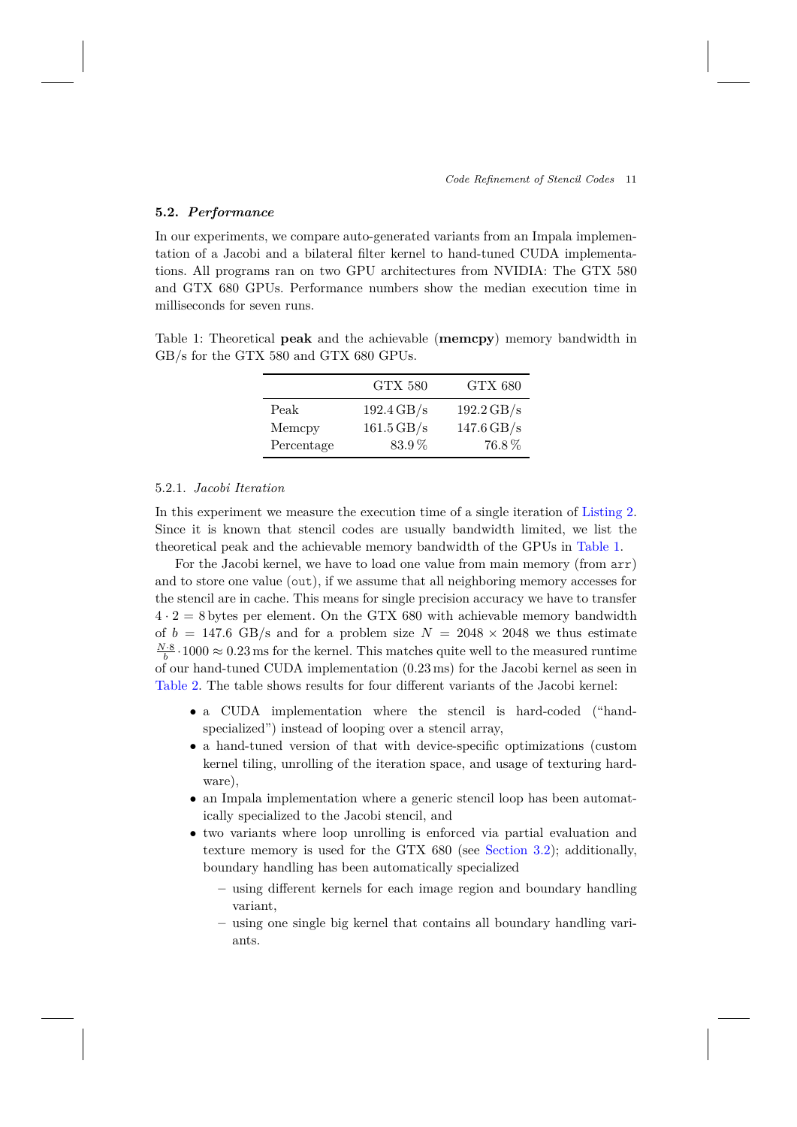# **5.2.** *Performance*

In our experiments, we compare auto-generated variants from an Impala implementation of a Jacobi and a bilateral filter kernel to hand-tuned CUDA implementations. All programs ran on two GPU architectures from NVIDIA: The GTX 580 and GTX 680 GPUs. Performance numbers show the median execution time in milliseconds for seven runs.

<span id="page-10-0"></span>Table 1: Theoretical **peak** and the achievable (**memcpy**) memory bandwidth in GB/s for the GTX 580 and GTX 680 GPUs.

|            | GTX 580      | GTX 680      |
|------------|--------------|--------------|
| Peak       | $192.4$ GB/s | $192.2$ GB/s |
| Memcpy     | $161.5$ GB/s | $147.6$ GB/s |
| Percentage | 83.9%        | 76.8%        |

### <span id="page-10-1"></span>5.2.1. *Jacobi Iteration*

In this experiment we measure the execution time of a single iteration of [Listing 2.](#page-9-0) Since it is known that stencil codes are usually bandwidth limited, we list the theoretical peak and the achievable memory bandwidth of the GPUs in [Table 1.](#page-10-0)

For the Jacobi kernel, we have to load one value from main memory (from arr) and to store one value (out), if we assume that all neighboring memory accesses for the stencil are in cache. This means for single precision accuracy we have to transfer  $4 \cdot 2 = 8$  bytes per element. On the GTX 680 with achievable memory bandwidth of  $b = 147.6 \text{ GB/s}$  and for a problem size  $N = 2048 \times 2048$  we thus estimate  $\frac{N \cdot 8}{b} \cdot 1000 \approx 0.23 \,\text{ms}$  for the kernel. This matches quite well to the measured runtime of our hand-tuned CUDA implementation (0*.*23 ms) for the Jacobi kernel as seen in [Table 2.](#page-11-0) The table shows results for four different variants of the Jacobi kernel:

- a CUDA implementation where the stencil is hard-coded ("handspecialized") instead of looping over a stencil array,
- a hand-tuned version of that with device-specific optimizations (custom kernel tiling, unrolling of the iteration space, and usage of texturing hardware),
- an Impala implementation where a generic stencil loop has been automatically specialized to the Jacobi stencil, and
- two variants where loop unrolling is enforced via partial evaluation and texture memory is used for the GTX 680 (see [Section 3.2\)](#page-4-0); additionally, boundary handling has been automatically specialized
	- **–** using different kernels for each image region and boundary handling variant,
	- **–** using one single big kernel that contains all boundary handling variants.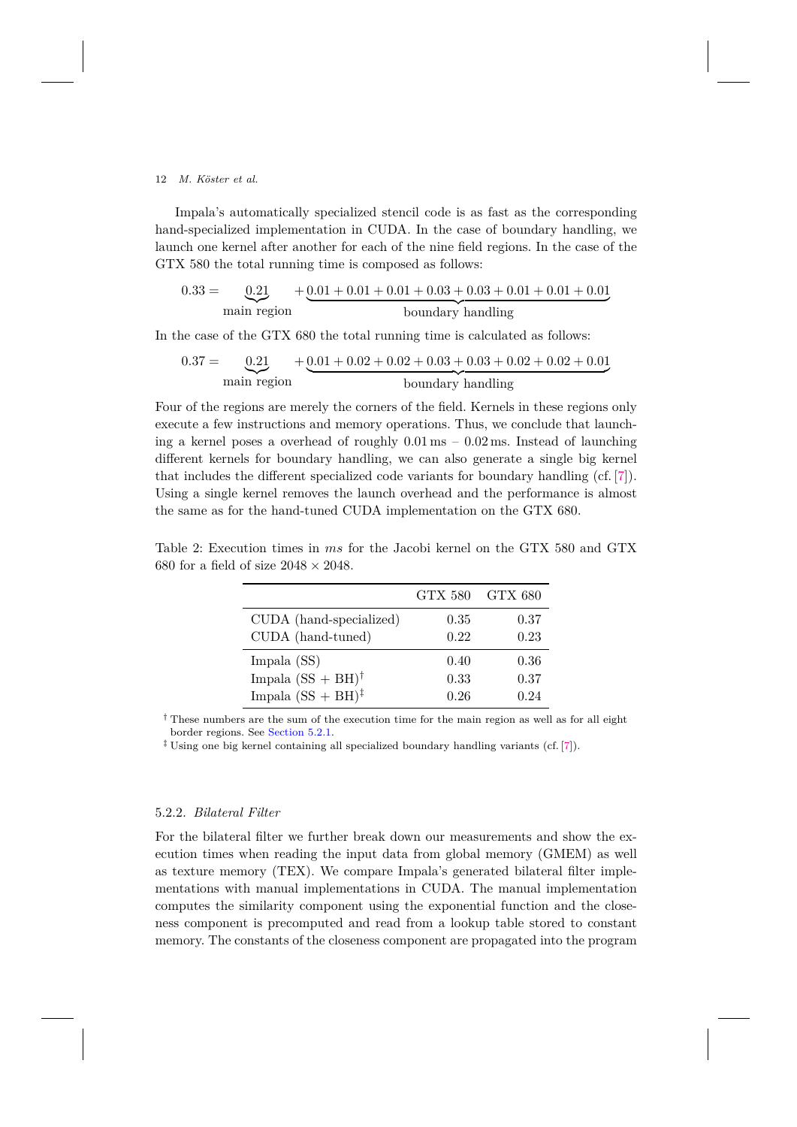Impala's automatically specialized stencil code is as fast as the corresponding hand-specialized implementation in CUDA. In the case of boundary handling, we launch one kernel after another for each of the nine field regions. In the case of the GTX 580 the total running time is composed as follows:

$$
0.33 = \underbrace{0.21}_{\text{main region}} + \underbrace{0.01 + 0.01 + 0.01 + 0.03 + 0.03 + 0.01 + 0.01 + 0.01}{\text{boundary handling}}
$$

In the case of the GTX 680 the total running time is calculated as follows:

$$
0.37 = \underbrace{0.21}_{\text{main region}} + \underbrace{0.01 + 0.02 + 0.02 + 0.03 + 0.03 + 0.02 + 0.02 + 0.01}_{\text{boundary handling}}
$$

Four of the regions are merely the corners of the field. Kernels in these regions only execute a few instructions and memory operations. Thus, we conclude that launching a kernel poses a overhead of roughly  $0.01 \text{ ms} - 0.02 \text{ ms}$ . Instead of launching different kernels for boundary handling, we can also generate a single big kernel that includes the different specialized code variants for boundary handling (cf. [\[7\]](#page-14-6)). Using a single kernel removes the launch overhead and the performance is almost the same as for the hand-tuned CUDA implementation on the GTX 680.

GTX 580 GTX 680 CUDA (hand-specialized) 0*.*35 0*.*37 CUDA (hand-tuned) 0*.*22 0*.*23 Impala (SS) 0*.*40 0*.*36  $Impala (SS + BH)^{\dagger}$  0.33 0.37 Impala  $(SS + BH)^{\ddagger}$  0.26 0.24

<span id="page-11-0"></span>Table 2: Execution times in *ms* for the Jacobi kernel on the GTX 580 and GTX 680 for a field of size  $2048 \times 2048$ .

† These numbers are the sum of the execution time for the main region as well as for all eight border regions. See [Section 5.2.1.](#page-10-1)

<sup>‡</sup> Using one big kernel containing all specialized boundary handling variants (cf.  $[7]$ ).

# <span id="page-11-1"></span>5.2.2. *Bilateral Filter*

For the bilateral filter we further break down our measurements and show the execution times when reading the input data from global memory (GMEM) as well as texture memory (TEX). We compare Impala's generated bilateral filter implementations with manual implementations in CUDA. The manual implementation computes the similarity component using the exponential function and the closeness component is precomputed and read from a lookup table stored to constant memory. The constants of the closeness component are propagated into the program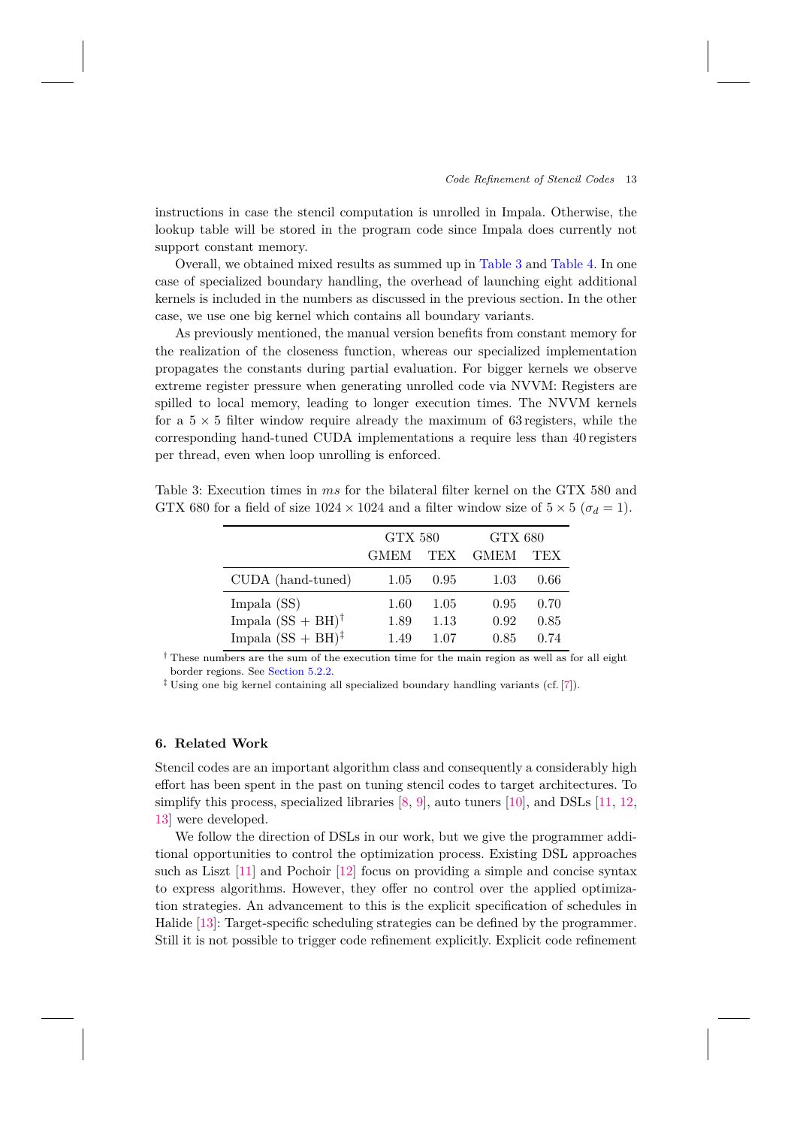instructions in case the stencil computation is unrolled in Impala. Otherwise, the lookup table will be stored in the program code since Impala does currently not support constant memory.

Overall, we obtained mixed results as summed up in [Table 3](#page-12-0) and [Table 4.](#page-13-0) In one case of specialized boundary handling, the overhead of launching eight additional kernels is included in the numbers as discussed in the previous section. In the other case, we use one big kernel which contains all boundary variants.

As previously mentioned, the manual version benefits from constant memory for the realization of the closeness function, whereas our specialized implementation propagates the constants during partial evaluation. For bigger kernels we observe extreme register pressure when generating unrolled code via NVVM: Registers are spilled to local memory, leading to longer execution times. The NVVM kernels for a  $5 \times 5$  filter window require already the maximum of 63 registers, while the corresponding hand-tuned CUDA implementations a require less than 40 registers per thread, even when loop unrolling is enforced.

<span id="page-12-0"></span>Table 3: Execution times in *ms* for the bilateral filter kernel on the GTX 580 and GTX 680 for a field of size  $1024 \times 1024$  and a filter window size of  $5 \times 5$  ( $\sigma_d = 1$ ).

|                               | GTX 580 |      | GTX 680     |      |
|-------------------------------|---------|------|-------------|------|
|                               | GMEM    | TEX  | <b>GMEM</b> | TEX. |
| CUDA (hand-tuned)             | 1.05    | 0.95 | 1.03        | 0.66 |
| Impala $(SS)$                 | 1.60    | 1.05 | 0.95        | 0.70 |
| Impala $(SS + BH)^{\dagger}$  | 1.89    | 1.13 | 0.92        | 0.85 |
| Impala $(SS + BH)^{\ddagger}$ | 1.49    | 1 07 | 0.85        | O 74 |

<sup> $\dagger$ </sup> These numbers are the sum of the execution time for the main region as well as for all eight border regions. See [Section 5.2.2.](#page-11-1)

<sup> $‡$ </sup> Using one big kernel containing all specialized boundary handling variants (cf.  $[7]$ ).

### **6. Related Work**

Stencil codes are an important algorithm class and consequently a considerably high effort has been spent in the past on tuning stencil codes to target architectures. To simplify this process, specialized libraries  $[8, 9]$  $[8, 9]$  $[8, 9]$ , auto tuners  $[10]$ , and DSLs  $[11, 12,$  $[11, 12,$  $[11, 12,$ [13\]](#page-15-0) were developed.

We follow the direction of DSLs in our work, but we give the programmer additional opportunities to control the optimization process. Existing DSL approaches such as Liszt [\[11\]](#page-14-10) and Pochoir [\[12\]](#page-14-11) focus on providing a simple and concise syntax to express algorithms. However, they offer no control over the applied optimization strategies. An advancement to this is the explicit specification of schedules in Halide [\[13\]](#page-15-0): Target-specific scheduling strategies can be defined by the programmer. Still it is not possible to trigger code refinement explicitly. Explicit code refinement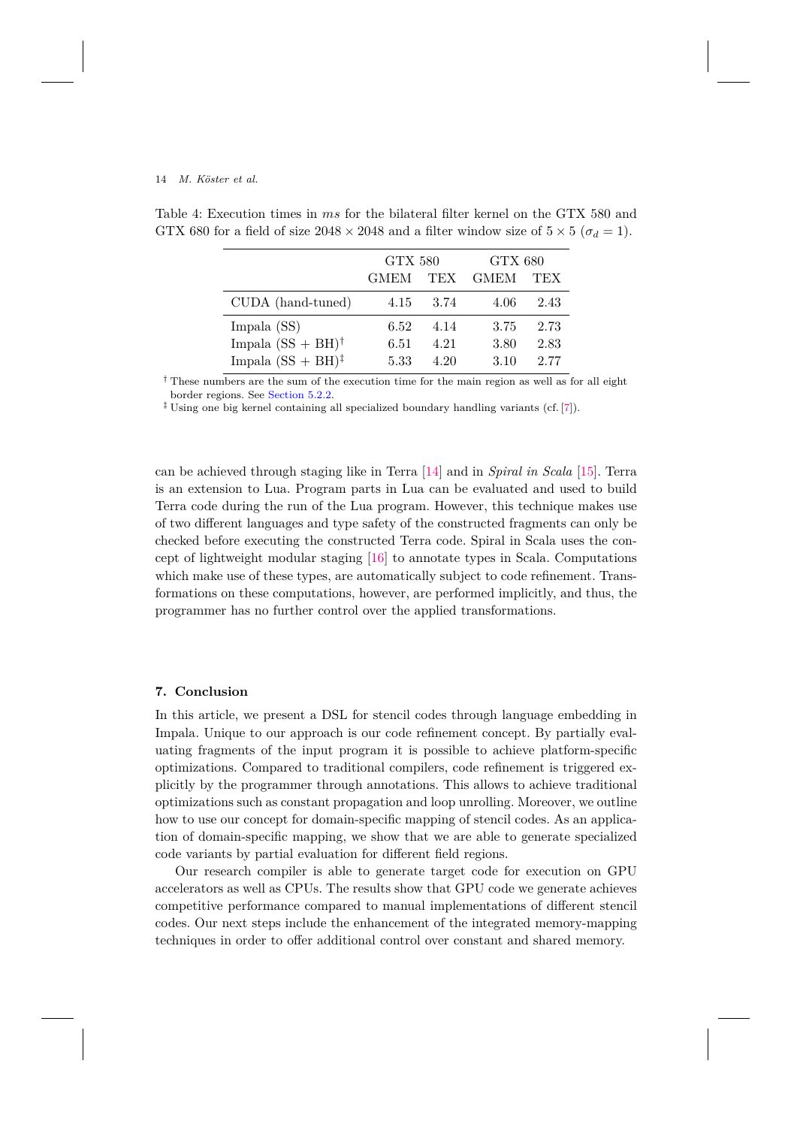|                               | GTX 580 |        | GTX 680     |            |
|-------------------------------|---------|--------|-------------|------------|
|                               | GMEM    | TEX    | <b>GMEM</b> | <b>TEX</b> |
| CUDA (hand-tuned)             | 4.15    | - 3.74 | 4.06        | 2.43       |
| Impala $(SS)$                 | 6.52    | 4.14   | 3.75        | 2.73       |
| Impala $(SS + BH)^{\dagger}$  | 6.51    | 4.21   | 3.80        | 2.83       |
| Impala $(SS + BH)^{\ddagger}$ | 5.33    | 4 20   | 3.10        | 2.77       |

<span id="page-13-0"></span>Table 4: Execution times in *ms* for the bilateral filter kernel on the GTX 580 and GTX 680 for a field of size  $2048 \times 2048$  and a filter window size of  $5 \times 5$  ( $\sigma_d = 1$ ).

† These numbers are the sum of the execution time for the main region as well as for all eight border regions. See [Section 5.2.2.](#page-11-1)

‡ Using one big kernel containing all specialized boundary handling variants (cf. [\[7\]](#page-14-6)).

can be achieved through staging like in Terra [\[14\]](#page-15-1) and in *Spiral in Scala* [\[15\]](#page-15-2). Terra is an extension to Lua. Program parts in Lua can be evaluated and used to build Terra code during the run of the Lua program. However, this technique makes use of two different languages and type safety of the constructed fragments can only be checked before executing the constructed Terra code. Spiral in Scala uses the concept of lightweight modular staging [\[16\]](#page-15-3) to annotate types in Scala. Computations which make use of these types, are automatically subject to code refinement. Transformations on these computations, however, are performed implicitly, and thus, the programmer has no further control over the applied transformations.

## **7. Conclusion**

In this article, we present a DSL for stencil codes through language embedding in Impala. Unique to our approach is our code refinement concept. By partially evaluating fragments of the input program it is possible to achieve platform-specific optimizations. Compared to traditional compilers, code refinement is triggered explicitly by the programmer through annotations. This allows to achieve traditional optimizations such as constant propagation and loop unrolling. Moreover, we outline how to use our concept for domain-specific mapping of stencil codes. As an application of domain-specific mapping, we show that we are able to generate specialized code variants by partial evaluation for different field regions.

Our research compiler is able to generate target code for execution on GPU accelerators as well as CPUs. The results show that GPU code we generate achieves competitive performance compared to manual implementations of different stencil codes. Our next steps include the enhancement of the integrated memory-mapping techniques in order to offer additional control over constant and shared memory.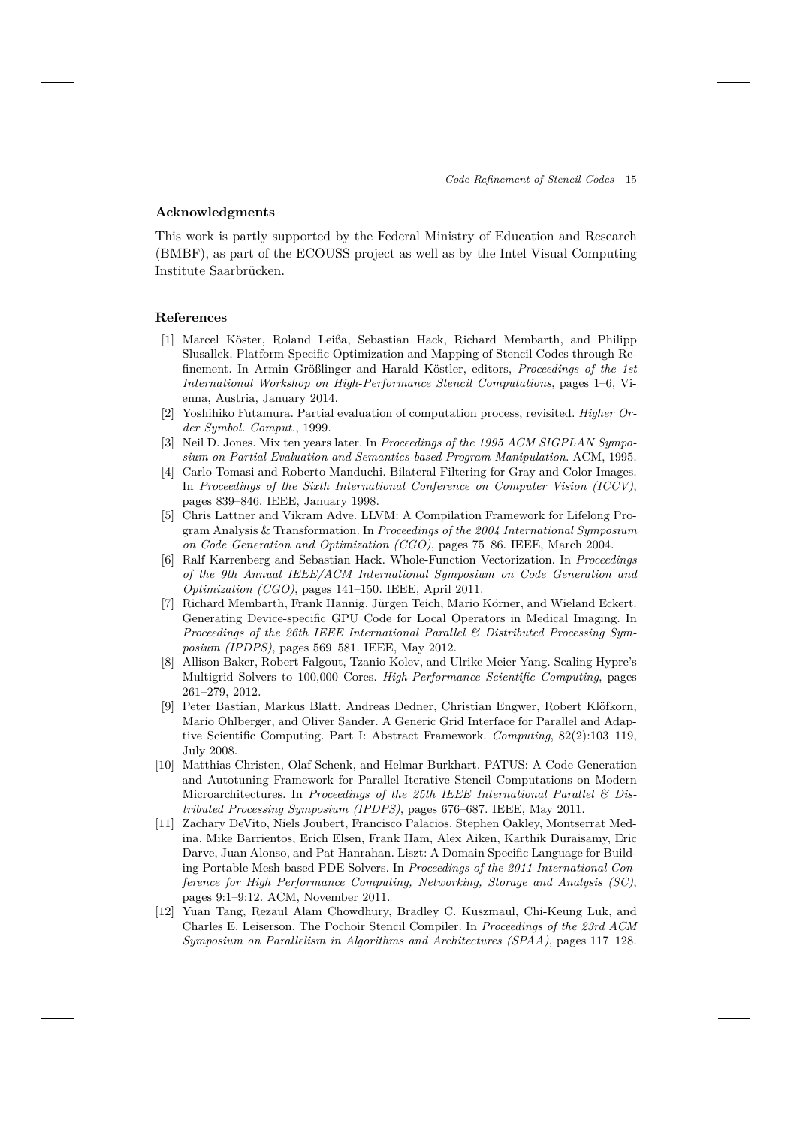# **Acknowledgments**

This work is partly supported by the Federal Ministry of Education and Research (BMBF), as part of the ECOUSS project as well as by the Intel Visual Computing Institute Saarbrücken.

### **References**

- <span id="page-14-0"></span>[1] Marcel Köster, Roland Leißa, Sebastian Hack, Richard Membarth, and Philipp Slusallek. Platform-Specific Optimization and Mapping of Stencil Codes through Refinement. In Armin Größlinger and Harald Köstler, editors, *Proceedings of the 1st International Workshop on High-Performance Stencil Computations*, pages 1–6, Vienna, Austria, January 2014.
- <span id="page-14-1"></span>[2] Yoshihiko Futamura. Partial evaluation of computation process, revisited. *Higher Order Symbol. Comput.*, 1999.
- <span id="page-14-2"></span>[3] Neil D. Jones. Mix ten years later. In *Proceedings of the 1995 ACM SIGPLAN Symposium on Partial Evaluation and Semantics-based Program Manipulation*. ACM, 1995.
- <span id="page-14-3"></span>[4] Carlo Tomasi and Roberto Manduchi. Bilateral Filtering for Gray and Color Images. In *Proceedings of the Sixth International Conference on Computer Vision (ICCV)*, pages 839–846. IEEE, January 1998.
- <span id="page-14-4"></span>[5] Chris Lattner and Vikram Adve. LLVM: A Compilation Framework for Lifelong Program Analysis & Transformation. In *Proceedings of the 2004 International Symposium on Code Generation and Optimization (CGO)*, pages 75–86. IEEE, March 2004.
- <span id="page-14-5"></span>[6] Ralf Karrenberg and Sebastian Hack. Whole-Function Vectorization. In *Proceedings of the 9th Annual IEEE/ACM International Symposium on Code Generation and Optimization (CGO)*, pages 141–150. IEEE, April 2011.
- <span id="page-14-6"></span>[7] Richard Membarth, Frank Hannig, Jürgen Teich, Mario Körner, and Wieland Eckert. Generating Device-specific GPU Code for Local Operators in Medical Imaging. In *Proceedings of the 26th IEEE International Parallel & Distributed Processing Symposium (IPDPS)*, pages 569–581. IEEE, May 2012.
- <span id="page-14-7"></span>[8] Allison Baker, Robert Falgout, Tzanio Kolev, and Ulrike Meier Yang. Scaling Hypre's Multigrid Solvers to 100,000 Cores. *High-Performance Scientific Computing*, pages 261–279, 2012.
- <span id="page-14-8"></span>[9] Peter Bastian, Markus Blatt, Andreas Dedner, Christian Engwer, Robert Klöfkorn, Mario Ohlberger, and Oliver Sander. A Generic Grid Interface for Parallel and Adaptive Scientific Computing. Part I: Abstract Framework. *Computing*, 82(2):103–119, July 2008.
- <span id="page-14-9"></span>[10] Matthias Christen, Olaf Schenk, and Helmar Burkhart. PATUS: A Code Generation and Autotuning Framework for Parallel Iterative Stencil Computations on Modern Microarchitectures. In *Proceedings of the 25th IEEE International Parallel & Distributed Processing Symposium (IPDPS)*, pages 676–687. IEEE, May 2011.
- <span id="page-14-10"></span>[11] Zachary DeVito, Niels Joubert, Francisco Palacios, Stephen Oakley, Montserrat Medina, Mike Barrientos, Erich Elsen, Frank Ham, Alex Aiken, Karthik Duraisamy, Eric Darve, Juan Alonso, and Pat Hanrahan. Liszt: A Domain Specific Language for Building Portable Mesh-based PDE Solvers. In *Proceedings of the 2011 International Conference for High Performance Computing, Networking, Storage and Analysis (SC)*, pages 9:1–9:12. ACM, November 2011.
- <span id="page-14-11"></span>[12] Yuan Tang, Rezaul Alam Chowdhury, Bradley C. Kuszmaul, Chi-Keung Luk, and Charles E. Leiserson. The Pochoir Stencil Compiler. In *Proceedings of the 23rd ACM Symposium on Parallelism in Algorithms and Architectures (SPAA)*, pages 117–128.